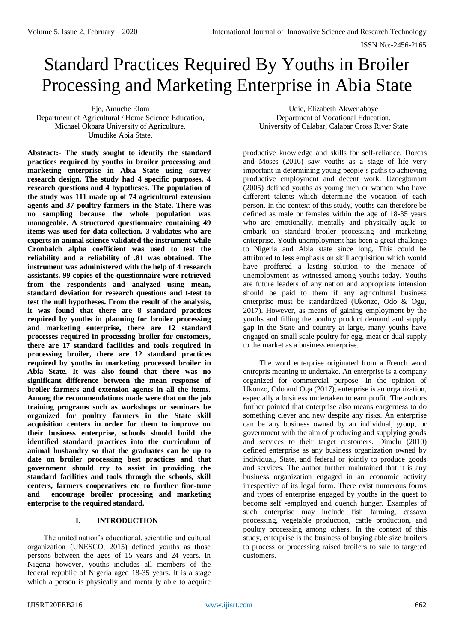# Standard Practices Required By Youths in Broiler Processing and Marketing Enterprise in Abia State

Eje, Amuche Elom Department of Agricultural / Home Science Education, Michael Okpara University of Agriculture, Umudike Abia State.

**Abstract:- The study sought to identify the standard practices required by youths in broiler processing and marketing enterprise in Abia State using survey research design. The study had 4 specific purposes, 4 research questions and 4 hypotheses. The population of the study was 111 made up of 74 agricultural extension agents and 37 poultry farmers in the State. There was no sampling because the whole population was manageable. A structured questionnaire containing 49 items was used for data collection. 3 validates who are experts in animal science validated the instrument while Cronbalch alpha coefficient was used to test the reliability and a reliability of .81 was obtained. The instrument was administered with the help of 4 research assistants. 99 copies of the questionnaire were retrieved from the respondents and analyzed using mean, standard deviation for research questions and t-test to test the null hypotheses. From the result of the analysis, it was found that there are 8 standard practices required by youths in planning for broiler processing and marketing enterprise, there are 12 standard processes required in processing broiler for customers, there are 17 standard facilities and tools required in processing broiler, there are 12 standard practices required by youths in marketing processed broiler in Abia State. It was also found that there was no significant difference between the mean response of broiler farmers and extension agents in all the items. Among the recommendations made were that on the job training programs such as workshops or seminars be organized for poultry farmers in the State skill acquisition centers in order for them to improve on their business enterprise, schools should build the identified standard practices into the curriculum of animal husbandry so that the graduates can be up to date on broiler processing best practices and that government should try to assist in providing the standard facilities and tools through the schools, skill centers, farmers cooperatives etc to further fine-tune and encourage broiler processing and marketing enterprise to the required standard.**

# **I. INTRODUCTION**

The united nation's educational, scientific and cultural organization (UNESCO, 2015) defined youths as those persons between the ages of 15 years and 24 years. In Nigeria however, youths includes all members of the federal republic of Nigeria aged 18-35 years. It is a stage which a person is physically and mentally able to acquire

Udie, Elizabeth Akwenaboye Department of Vocational Education, University of Calabar, Calabar Cross River State

productive knowledge and skills for self-reliance. Dorcas and Moses (2016) saw youths as a stage of life very important in determining young people's paths to achieving productive employment and decent work. Uzoegbunam (2005) defined youths as young men or women who have different talents which determine the vocation of each person. In the context of this study, youths can therefore be defined as male or females within the age of 18-35 years who are emotionally, mentally and physically agile to embark on standard broiler processing and marketing enterprise. Youth unemployment has been a great challenge to Nigeria and Abia state since long. This could be attributed to less emphasis on skill acquisition which would have proffered a lasting solution to the menace of unemployment as witnessed among youths today. Youths are future leaders of any nation and appropriate intension should be paid to them if any agricultural business enterprise must be standardized (Ukonze, Odo & Ogu, 2017). However, as means of gaining employment by the youths and filling the poultry product demand and supply gap in the State and country at large, many youths have engaged on small scale poultry for egg, meat or dual supply to the market as a business enterprise.

The word enterprise originated from a French word entrepris meaning to undertake. An enterprise is a company organized for commercial purpose. In the opinion of Ukonzo, Odo and Oga (2017), enterprise is an organization, especially a business undertaken to earn profit. The authors further pointed that enterprise also means eargerness to do something clever and new despite any risks. An enterprise can be any business owned by an individual, group, or government with the aim of producing and supplying goods and services to their target customers. Dimelu (2010) defined enterprise as any business organization owned by individual, State, and federal or jointly to produce goods and services. The author further maintained that it is any business organization engaged in an economic activity irrespective of its legal form. There exist numerous forms and types of enterprise engaged by youths in the quest to become self -employed and quench hunger. Examples of such enterprise may include fish farming, cassava processing, vegetable production, cattle production, and poultry processing among others. In the context of this study, enterprise is the business of buying able size broilers to process or processing raised broilers to sale to targeted customers.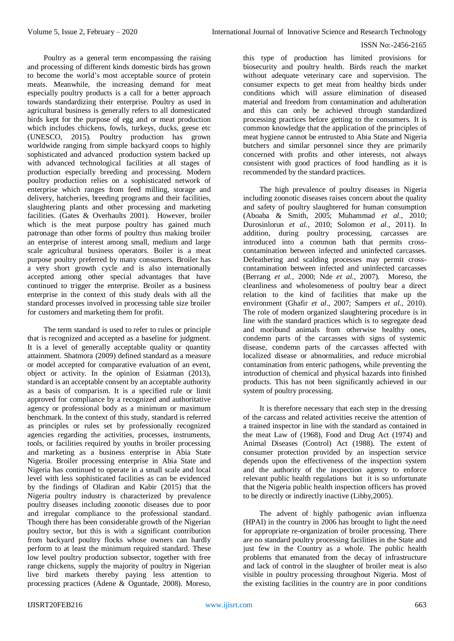Poultry as a general term encompassing the raising and processing of different kinds domestic birds has grown to become the world's most acceptable source of protein meats. Meanwhile, the increasing demand for meat especially poultry products is a call for a better approach towards standardizing their enterprise. Poultry as used in agricultural business is generally refers to all domesticated birds kept for the purpose of egg and or meat production which includes chickens, fowls, turkeys, ducks, geese etc (UNESCO, 2015). Poultry production has grown worldwide ranging from simple backyard coops to highly sophisticated and advanced production system backed up with advanced technological facilities at all stages of production especially breeding and processing. Modern poultry production relies on a sophisticated network of enterprise which ranges from feed milling, storage and delivery, hatcheries, breeding programs and their facilities, slaughtering plants and other processing and marketing facilities. (Gates & Overhaults 2001). However, broiler which is the meat purpose poultry has gained much patronage than other forms of poultry thus making broiler an enterprise of interest among small, medium and large scale agricultural business operators. Boiler is a meat purpose poultry preferred by many consumers. Broiler has a very short growth cycle and is also internationally accepted among other special advantages that have continued to trigger the enterprise. Broiler as a business enterprise in the context of this study deals with all the standard processes involved in processing table size broiler for customers and marketing them for profit.

The term standard is used to refer to rules or principle that is recognized and accepted as a baseline for judgment. It is a level of generally acceptable quality or quantity attainment. Shatmora (2009) defined standard as a measure or model accepted for comparative evaluation of an event, object or activity. In the opinion of Esiatman (2013), standard is an acceptable consent by an acceptable authority as a basis of comparism. It is a specified rule or limit approved for compliance by a recognized and authoritative agency or professional body as a minimum or maximum benchmark. In the context of this study, standard is referred as principles or rules set by professionally recognized agencies regarding the activities, processes, instruments, tools, or facilities required by youths in broiler processing and marketing as a business enterprise in Abia State Nigeria. Broiler processing enterprise in Abia State and Nigeria has continued to operate in a small scale and local level with less sophisticated facilities as can be evidenced by the findings of Oladiran and Kabir (2015) that the Nigeria poultry industry is characterized by prevalence poultry diseases including zoonotic diseases due to poor and irregular compliance to the professional standard. Though there has been considerable growth of the Nigerian poultry sector, but this is with a significant contribution from backyard poultry flocks whose owners can hardly perform to at least the minimum required standard. These low level poultry production subsector, together with free range chickens, supply the majority of poultry in Nigerian live bird markets thereby paying less attention to processing practices (Adene & Oguntade, 2008). Moreso,

this type of production has limited provisions for biosecurity and poultry health. Birds reach the market without adequate veterinary care and supervision. The consumer expects to get meat from healthy birds under conditions which will assure elimination of diseased material and freedom from contamination and adulteration and this can only be achieved through standardized processing practices before getting to the consumers. It is common knowledge that the application of the principles of meat hygiene cannot be entrusted to Abia State and Nigeria butchers and similar personnel since they are primarily concerned with profits and other interests, not always consistent with good practices of food handling as it is recommended by the standard practices.

The high prevalence of poultry diseases in Nigeria including zoonotic diseases raises concern about the quality and safety of poultry slaughtered for human consumption (Aboaba & Smith, 2005; Muhammad *et al.,* 2010; Durosinlorun *et al.,* 2010; Solomon *et al.,* 2011). In addition, during poultry processing, carcasses are introduced into a common bath that permits crosscontamination between infected and uninfected carcasses. Defeathering and scalding processes may permit crosscontamination between infected and uninfected carcasses (Berrang *et al.,* 2000; Nde *et al.,* 2007). Moreso, the cleanliness and wholesomeness of poultry bear a direct relation to the kind of facilities that make up the environment (Ghafir *et al.,* 2007; Sampers *et al.,* 2010). The role of modern organized slaughtering procedure is in line with the standard practices which is to segregate dead and moribund animals from otherwise healthy ones, condemn parts of the carcasses with signs of systemic disease, condemn parts of the carcasses affected with localized disease or abnormalities, and reduce microbial contamination from enteric pathogens, while preventing the introduction of chemical and physical hazards into finished products. This has not been significantly achieved in our system of poultry processing.

It is therefore necessary that each step in the dressing of the carcass and related activities receive the attention of a trained inspector in line with the standard as contained in the meat Law of (1968), Food and Drug Act (1974) and Animal Diseases (Control) Act (1988). The extent of consumer protection provided by an inspection service depends upon the effectiveness of the inspection system and the authority of the inspection agency to enforce relevant public health regulations but it is so unfortunate that the Nigeria public health inspection officers has proved to be directly or indirectly inactive (Libby,2005).

The advent of highly pathogenic avian influenza (HPAI) in the country in 2006 has brought to light the need for appropriate re-organization of broiler processing. There are no standard poultry processing facilities in the State and just few in the Country as a whole. The public health problems that emanated from the decay of infrastructure and lack of control in the slaughter of broiler meat is also visible in poultry processing throughout Nigeria. Most of the existing facilities in the country are in poor conditions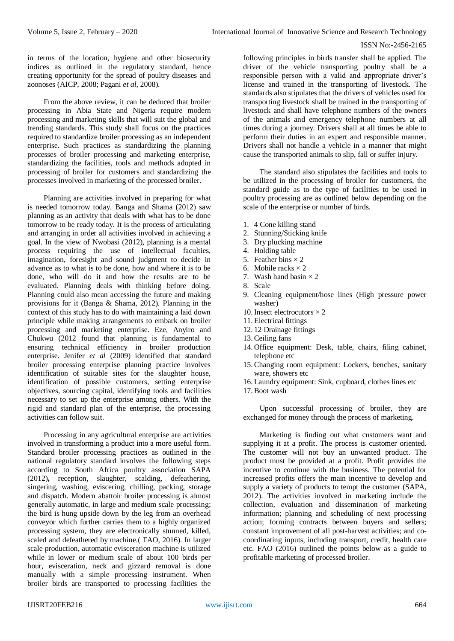in terms of the location, hygiene and other biosecurity indices as outlined in the regulatory standard, hence creating opportunity for the spread of poultry diseases and zoonoses (AICP, 2008; Pagani *et al*, 2008).

From the above review, it can be deduced that broiler processing in Abia State and Nigeria require modern processing and marketing skills that will suit the global and trending standards. This study shall focus on the practices required to standardize broiler processing as an independent enterprise. Such practices as standardizing the planning processes of broiler processing and marketing enterprise, standardizing the facilities, tools and methods adopted in processing of broiler for customers and standardizing the processes involved in marketing of the processed broiler.

Planning are activities involved in preparing for what is needed tomorrow today. Banga and Shama (2012) saw planning as an activity that deals with what has to be done tomorrow to be ready today. It is the process of articulating and arranging in order all activities involved in achieving a goal. In the view of Nwobasi (2012), planning is a mental process requiring the use of intellectual faculties, imagination, foresight and sound judgment to decide in advance as to what is to be done, how and where it is to be done, who will do it and how the results are to be evaluated. Planning deals with thinking before doing. Planning could also mean accessing the future and making provisions for it (Banga & Shama, 2012). Planning in the context of this study has to do with maintaining a laid down principle while making arrangements to embark on broiler processing and marketing enterprise. Eze, Anyiro and Chukwu (2012 found that planning is fundamental to ensuring technical efficiency in broiler production enterprise. Jenifer *et al* (2009) identified that standard broiler processing enterprise planning practice involves identification of suitable sites for the slaughter house, identification of possible customers, setting enterprise objectives, sourcing capital, identifying tools and facilities necessary to set up the enterprise among others. With the rigid and standard plan of the enterprise, the processing activities can follow suit.

Processing in any agricultural enterprise are activities involved in transforming a product into a more useful form. Standard broiler processing practices as outlined in the national regulatory standard involves the following steps according to South Africa poultry association SAPA (2012)**,** reception, slaughter, scalding, defeathering, singering, washing, eviscering, chilling, packing, storage and dispatch. Modern abattoir broiler processing is almost generally automatic, in large and medium scale processing; the bird is hung upside down by the leg from an overhead conveyor which further carries them to a highly organized processing system, they are electronically stunned, killed, scaled and defeathered by machine.( FAO, 2016). In larger scale production, automatic evisceration machine is utilized while in lower or medium scale of about 100 birds per hour, evisceration, neck and gizzard removal is done manually with a simple processing instrument. When broiler birds are transported to processing facilities the

following principles in birds transfer shall be applied. The driver of the vehicle transporting poultry shall be a responsible person with a valid and appropriate driver's license and trained in the transporting of livestock. The standards also stipulates that the drivers of vehicles used for transporting livestock shall be trained in the transporting of livestock and shall have telephone numbers of the owners of the animals and emergency telephone numbers at all times during a journey. Drivers shall at all times be able to perform their duties in an expert and responsible manner. Drivers shall not handle a vehicle in a manner that might cause the transported animals to slip, fall or suffer injury.

The standard also stipulates the facilities and tools to be utilized in the processing of broiler for customers, the standard guide as to the type of facilities to be used in poultry processing are as outlined below depending on the scale of the enterprise or number of birds.

- 1. 4 Cone killing stand
- 2. Stunning/Sticking knife
- 3. Dry plucking machine
- 4. Holding table
- 5. Feather bins  $\times$  2
- 6. Mobile racks  $\times$  2
- 7. Wash hand basin  $\times$  2
- 8. Scale
- 9. Cleaning equipment/hose lines (High pressure power washer)
- 10. Insect electrocutors  $\times$  2
- 11. Electrical fittings
- 12. 12 Drainage fittings
- 13.Ceiling fans
- 14. Office equipment: Desk, table, chairs, filing cabinet, telephone etc
- 15.Changing room equipment: Lockers, benches, sanitary ware, showers etc
- 16. Laundry equipment: Sink, cupboard, clothes lines etc
- 17.Boot wash

Upon successful processing of broiler, they are exchanged for money through the process of marketing.

Marketing is finding out what customers want and supplying it at a profit. The process is customer oriented. The customer will not buy an unwanted product. The product must be provided at a profit. Profit provides the incentive to continue with the business. The potential for increased profits offers the main incentive to develop and supply a variety of products to tempt the customer (SAPA, 2012). The activities involved in marketing include the collection, evaluation and dissemination of marketing information; planning and scheduling of next processing action; forming contracts between buyers and sellers; constant improvement of all post-harvest activities; and cocoordinating inputs, including transport, credit, health care etc. FAO (2016) outlined the points below as a guide to profitable marketing of processed broiler.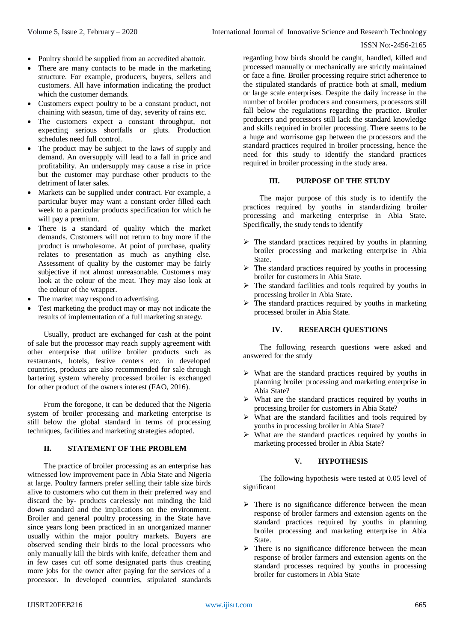- Poultry should be supplied from an accredited abattoir.
- There are many contacts to be made in the marketing structure. For example, producers, buyers, sellers and customers. All have information indicating the product which the customer demands.
- Customers expect poultry to be a constant product, not chaining with season, time of day, severity of rains etc.
- The customers expect a constant throughput, not expecting serious shortfalls or gluts. Production schedules need full control.
- The product may be subject to the laws of supply and demand. An oversupply will lead to a fall in price and profitability. An undersupply may cause a rise in price but the customer may purchase other products to the detriment of later sales.
- Markets can be supplied under contract. For example, a particular buyer may want a constant order filled each week to a particular products specification for which he will pay a premium.
- There is a standard of quality which the market demands. Customers will not return to buy more if the product is unwholesome. At point of purchase, quality relates to presentation as much as anything else. Assessment of quality by the customer may be fairly subjective if not almost unreasonable. Customers may look at the colour of the meat. They may also look at the colour of the wrapper.
- The market may respond to advertising.
- Test marketing the product may or may not indicate the results of implementation of a full marketing strategy.

Usually, product are exchanged for cash at the point of sale but the processor may reach supply agreement with other enterprise that utilize broiler products such as restaurants, hotels, festive centers etc. in developed countries, products are also recommended for sale through bartering system whereby processed broiler is exchanged for other product of the owners interest (FAO, 2016).

From the foregone, it can be deduced that the Nigeria system of broiler processing and marketing enterprise is still below the global standard in terms of processing techniques, facilities and marketing strategies adopted.

### **II. STATEMENT OF THE PROBLEM**

The practice of broiler processing as an enterprise has witnessed low improvement pace in Abia State and Nigeria at large. Poultry farmers prefer selling their table size birds alive to customers who cut them in their preferred way and discard the by- products carelessly not minding the laid down standard and the implications on the environment. Broiler and general poultry processing in the State have since years long been practiced in an unorganized manner usually within the major poultry markets. Buyers are observed sending their birds to the local processors who only manually kill the birds with knife, defeather them and in few cases cut off some designated parts thus creating more jobs for the owner after paying for the services of a processor. In developed countries, stipulated standards

regarding how birds should be caught, handled, killed and processed manually or mechanically are strictly maintained or face a fine. Broiler processing require strict adherence to the stipulated standards of practice both at small, medium or large scale enterprises. Despite the daily increase in the number of broiler producers and consumers, processors still fall below the regulations regarding the practice. Broiler producers and processors still lack the standard knowledge and skills required in broiler processing. There seems to be a huge and worrisome gap between the processors and the standard practices required in broiler processing, hence the need for this study to identify the standard practices required in broiler processing in the study area.

# **III. PURPOSE OF THE STUDY**

The major purpose of this study is to identify the practices required by youths in standardizing broiler processing and marketing enterprise in Abia State. Specifically, the study tends to identify

- $\triangleright$  The standard practices required by youths in planning broiler processing and marketing enterprise in Abia State.
- $\triangleright$  The standard practices required by youths in processing broiler for customers in Abia State.
- $\triangleright$  The standard facilities and tools required by youths in processing broiler in Abia State.
- $\triangleright$  The standard practices required by youths in marketing processed broiler in Abia State.

### **IV. RESEARCH QUESTIONS**

The following research questions were asked and answered for the study

- $\triangleright$  What are the standard practices required by youths in planning broiler processing and marketing enterprise in Abia State?
- $\triangleright$  What are the standard practices required by youths in processing broiler for customers in Abia State?
- $\triangleright$  What are the standard facilities and tools required by youths in processing broiler in Abia State?
- $\triangleright$  What are the standard practices required by youths in marketing processed broiler in Abia State?

### **V. HYPOTHESIS**

The following hypothesis were tested at 0.05 level of significant

- $\triangleright$  There is no significance difference between the mean response of broiler farmers and extension agents on the standard practices required by youths in planning broiler processing and marketing enterprise in Abia State.
- $\triangleright$  There is no significance difference between the mean response of broiler farmers and extension agents on the standard processes required by youths in processing broiler for customers in Abia State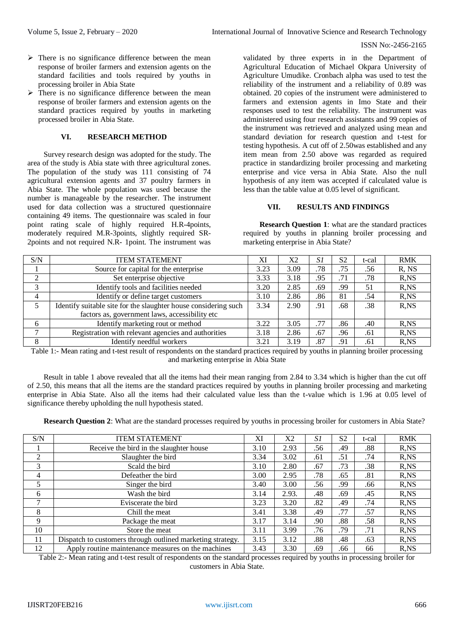- $\triangleright$  There is no significance difference between the mean response of broiler farmers and extension agents on the standard facilities and tools required by youths in processing broiler in Abia State
- $\triangleright$  There is no significance difference between the mean response of broiler farmers and extension agents on the standard practices required by youths in marketing processed broiler in Abia State.

# **VI. RESEARCH METHOD**

Survey research design was adopted for the study. The area of the study is Abia state with three agricultural zones. The population of the study was 111 consisting of 74 agricultural extension agents and 37 poultry farmers in Abia State. The whole population was used because the number is manageable by the researcher. The instrument used for data collection was a structured questionnaire containing 49 items. The questionnaire was scaled in four point rating scale of highly required H.R-4points, moderately required M.R-3points, slightly required SR-2points and not required N.R- 1point. The instrument was

validated by three experts in in the Department of Agricultural Education of Michael Okpara University of Agriculture Umudike. Cronbach alpha was used to test the reliability of the instrument and a reliability of 0.89 was obtained. 20 copies of the instrument were administered to farmers and extension agents in Imo State and their responses used to test the reliability. The instrument was administered using four research assistants and 99 copies of the instrument was retrieved and analyzed using mean and standard deviation for research question and t-test for testing hypothesis. A cut off of 2.50was established and any item mean from 2.50 above was regarded as required practice in standardizing broiler processing and marketing enterprise and vice versa in Abia State. Also the null hypothesis of any item was accepted if calculated value is less than the table value at 0.05 level of significant.

### **VII. RESULTS AND FINDINGS**

**Research Question 1**: what are the standard practices required by youths in planning broiler processing and marketing enterprise in Abia State?

| S/N      | <b>ITEM STATEMENT</b>                                           | XI   | X2   | S1  | S <sub>2</sub> | t-cal | <b>RMK</b> |
|----------|-----------------------------------------------------------------|------|------|-----|----------------|-------|------------|
|          | Source for capital for the enterprise                           | 3.23 | 3.09 | .78 | .75            | .56   | R, NS      |
| $\gamma$ | Set enterprise objective                                        | 3.33 | 3.18 | .95 | .71            | .78   | $R$ , $NS$ |
| 3        | Identify tools and facilities needed                            | 3.20 | 2.85 | .69 | .99            | 51    | $R$ , $NS$ |
| 4        | Identify or define target customers                             | 3.10 | 2.86 | .86 | 81             | .54   | $R$ , $NS$ |
|          | Identify suitable site for the slaughter house considering such | 3.34 | 2.90 | .91 | .68            | .38   | $R$ , $NS$ |
|          | factors as, government laws, accessibility etc                  |      |      |     |                |       |            |
| 6        | Identify marketing rout or method                               | 3.22 | 3.05 | .77 | .86            | .40   | $R$ , $NS$ |
|          | Registration with relevant agencies and authorities             | 3.18 | 2.86 | .67 | .96            | .61   | $R$ , $NS$ |
| 8        | Identify needful workers                                        | 3.21 | 3.19 | .87 | .91            | .61   | R,NS       |

Table 1:- Mean rating and t-test result of respondents on the standard practices required by youths in planning broiler processing and marketing enterprise in Abia State

Result in table 1 above revealed that all the items had their mean ranging from 2.84 to 3.34 which is higher than the cut off of 2.50, this means that all the items are the standard practices required by youths in planning broiler processing and marketing enterprise in Abia State. Also all the items had their calculated value less than the t-value which is 1.96 at 0.05 level of significance thereby upholding the null hypothesis stated.

**Research Question 2**: What are the standard processes required by youths in processing broiler for customers in Abia State?

| S/N            | <b>ITEM STATEMENT</b>                                      | XI   | X <sub>2</sub> | S1  | S <sub>2</sub> | t-cal | <b>RMK</b> |
|----------------|------------------------------------------------------------|------|----------------|-----|----------------|-------|------------|
|                | Receive the bird in the slaughter house                    | 3.10 | 2.93           | .56 | .49            | .88   | $R$ , $NS$ |
| 2              | Slaughter the bird                                         | 3.34 | 3.02           | .61 | .51            | .74   | $R$ , $NS$ |
| 3              | Scald the bird                                             | 3.10 | 2.80           | .67 | .73            | .38   | $R$ , $NS$ |
| $\overline{4}$ | Defeather the bird                                         | 3.00 | 2.95           | .78 | .65            | .81   | R, NS      |
| 5              | Singer the bird                                            | 3.40 | 3.00           | .56 | .99            | .66   | $R$ , $NS$ |
| 6              | Wash the bird                                              | 3.14 | 2.93.          | .48 | .69            | .45   | $R$ , $NS$ |
| 7              | Eviscerate the bird                                        | 3.23 | 3.20           | .82 | .49            | .74   | $R$ , $NS$ |
| 8              | Chill the meat                                             | 3.41 | 3.38           | .49 | .77            | .57   | $R$ , $NS$ |
| 9              | Package the meat                                           | 3.17 | 3.14           | .90 | .88            | .58   | R, NS      |
| 10             | Store the meat                                             | 3.11 | 3.99           | .76 | .79            | .71   | R, NS      |
| 11             | Dispatch to customers through outlined marketing strategy. | 3.15 | 3.12           | .88 | .48            | .63   | $R$ , $NS$ |
| 12             | Apply routine maintenance measures on the machines         | 3.43 | 3.30           | .69 | .66            | 66    | $R$ , $NS$ |

Table 2:- Mean rating and t-test result of respondents on the standard processes required by youths in processing broiler for customers in Abia State.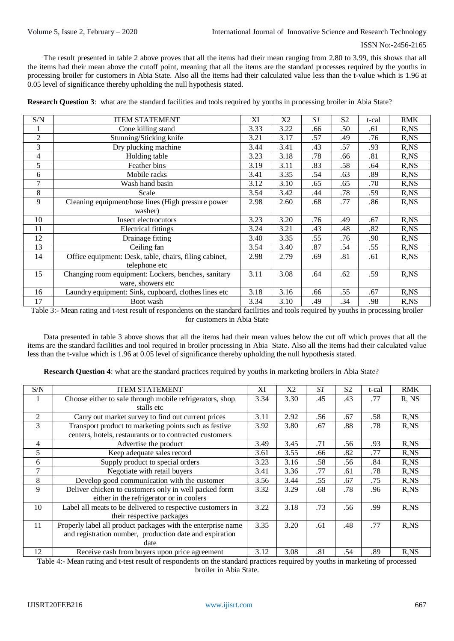The result presented in table 2 above proves that all the items had their mean ranging from 2.80 to 3.99, this shows that all the items had their mean above the cutoff point, meaning that all the items are the standard processes required by the youths in processing broiler for customers in Abia State. Also all the items had their calculated value less than the t-value which is 1.96 at 0.05 level of significance thereby upholding the null hypothesis stated.

| <b>Research Question 3:</b> what are the standard facilities and tools required by youths in processing broiler in Abia State? |  |  |
|--------------------------------------------------------------------------------------------------------------------------------|--|--|
|--------------------------------------------------------------------------------------------------------------------------------|--|--|

| S/N            | <b>ITEM STATEMENT</b>                                  | XI   | X2   | S1  | S <sub>2</sub> | t-cal | <b>RMK</b> |
|----------------|--------------------------------------------------------|------|------|-----|----------------|-------|------------|
| 1              | Cone killing stand                                     | 3.33 | 3.22 | .66 | .50            | .61   | R,NS       |
| $\overline{2}$ | Stunning/Sticking knife                                | 3.21 | 3.17 | .57 | .49            | .76   | $R$ , $NS$ |
| 3              | Dry plucking machine                                   | 3.44 | 3.41 | .43 | .57            | .93   | R, NS      |
| 4              | Holding table                                          | 3.23 | 3.18 | .78 | .66            | .81   | R, NS      |
| 5              | Feather bins                                           | 3.19 | 3.11 | .83 | .58            | .64   | R, NS      |
| 6              | Mobile racks                                           | 3.41 | 3.35 | .54 | .63            | .89   | R, NS      |
| $\overline{7}$ | Wash hand basin                                        | 3.12 | 3.10 | .65 | .65            | .70   | R, NS      |
| 8              | Scale                                                  | 3.54 | 3.42 | .44 | .78            | .59   | R, NS      |
| 9              | Cleaning equipment/hose lines (High pressure power     | 2.98 | 2.60 | .68 | .77            | .86   | R, NS      |
|                | washer)                                                |      |      |     |                |       |            |
| 10             | Insect electrocutors                                   | 3.23 | 3.20 | .76 | .49            | .67   | $R$ , $NS$ |
| 11             | <b>Electrical fittings</b>                             | 3.24 | 3.21 | .43 | .48            | .82   | R, NS      |
| 12             | Drainage fitting                                       | 3.40 | 3.35 | .55 | .76            | .90   | R, NS      |
| 13             | Ceiling fan                                            | 3.54 | 3.40 | .87 | .54            | .55   | R, NS      |
| 14             | Office equipment: Desk, table, chairs, filing cabinet, | 2.98 | 2.79 | .69 | .81            | .61   | R, NS      |
|                | telephone etc                                          |      |      |     |                |       |            |
| 15             | Changing room equipment: Lockers, benches, sanitary    | 3.11 | 3.08 | .64 | .62            | .59   | R, NS      |
|                | ware, showers etc                                      |      |      |     |                |       |            |
| 16             | Laundry equipment: Sink, cupboard, clothes lines etc   | 3.18 | 3.16 | .66 | .55            | .67   | R, NS      |
| 17             | Boot wash                                              | 3.34 | 3.10 | .49 | .34            | .98   | R, NS      |

Table 3:- Mean rating and t-test result of respondents on the standard facilities and tools required by youths in processing broiler for customers in Abia State

Data presented in table 3 above shows that all the items had their mean values below the cut off which proves that all the items are the standard facilities and tool required in broiler processing in Abia State. Also all the items had their calculated value less than the t-value which is 1.96 at 0.05 level of significance thereby upholding the null hypothesis stated.

**Research Question 4**: what are the standard practices required by youths in marketing broilers in Abia State?

| S/N            | <b>ITEM STATEMENT</b>                                        | XI   | X <sub>2</sub> | S1  | S <sub>2</sub> | t-cal | <b>RMK</b> |
|----------------|--------------------------------------------------------------|------|----------------|-----|----------------|-------|------------|
|                | Choose either to sale through mobile refrigerators, shop     | 3.34 | 3.30           | .45 | .43            | .77   | R, NS      |
|                | stalls etc                                                   |      |                |     |                |       |            |
| 2              | Carry out market survey to find out current prices           | 3.11 | 2.92           | .56 | .67            | .58   | $R$ , $NS$ |
| 3              | Transport product to marketing points such as festive        | 3.92 | 3.80           | .67 | .88            | .78   | $R$ , NS   |
|                | centers, hotels, restaurants or to contracted customers      |      |                |     |                |       |            |
| $\overline{4}$ | Advertise the product                                        | 3.49 | 3.45           | .71 | .56            | .93   | $R$ , $NS$ |
| 5              | Keep adequate sales record                                   | 3.61 | 3.55           | .66 | .82            | .77   | $R$ , $NS$ |
| 6              | Supply product to special orders                             | 3.23 | 3.16           | .58 | .56            | .84   | R, NS      |
| 7              | Negotiate with retail buyers                                 | 3.41 | 3.36           | .77 | .61            | .78   | $R$ , $NS$ |
| 8              | Develop good communication with the customer                 | 3.56 | 3.44           | .55 | .67            | .75   | $R$ , $NS$ |
| 9              | Deliver chicken to customers only in well packed form        | 3.32 | 3.29           | .68 | .78            | .96   | R,NS       |
|                | either in the refrigerator or in coolers                     |      |                |     |                |       |            |
| 10             | Label all meats to be delivered to respective customers in   | 3.22 | 3.18           | .73 | .56            | .99   | R,NS       |
|                | their respective packages                                    |      |                |     |                |       |            |
| 11             | Properly label all product packages with the enterprise name | 3.35 | 3.20           | .61 | .48            | .77   | $R$ , $NS$ |
|                | and registration number, production date and expiration      |      |                |     |                |       |            |
|                | date                                                         |      |                |     |                |       |            |
| 12             | Receive cash from buyers upon price agreement                | 3.12 | 3.08           | .81 | .54            | .89   | R.NS       |

Table 4:- Mean rating and t-test result of respondents on the standard practices required by youths in marketing of processed broiler in Abia State.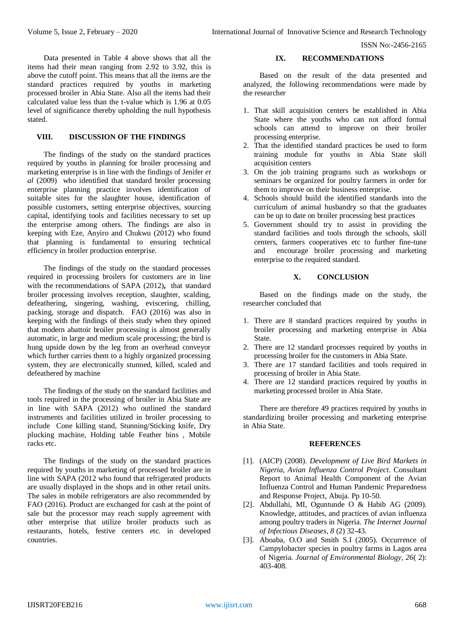Data presented in Table 4 above shows that all the items had their mean ranging from 2.92 to 3.92, this is above the cutoff point. This means that all the items are the standard practices required by youths in marketing processed broiler in Abia State. Also all the items had their calculated value less than the t-value which is 1.96 at 0.05 level of significance thereby upholding the null hypothesis stated.

# **VIII. DISCUSSION OF THE FINDINGS**

The findings of the study on the standard practices required by youths in planning for broiler processing and marketing enterprise is in line with the findings of Jenifer *et al* (2009) who identified that standard broiler processing enterprise planning practice involves identification of suitable sites for the slaughter house, identification of possible customers, setting enterprise objectives, sourcing capital, identifying tools and facilities necessary to set up the enterprise among others. The findings are also in keeping with Eze, Anyiro and Chukwu (2012) who found that planning is fundamental to ensuring technical efficiency in broiler production enterprise.

The findings of the study on the standard processes required in processing broilers for customers are in line with the recommendations of SAPA (2012)**,** that standard broiler processing involves reception, slaughter, scalding, defeathering, singering, washing, eviscering, chilling, packing, storage and dispatch. FAO (2016) was also in keeping with the findings of theis study when they opined that modern abattoir broiler processing is almost generally automatic, in large and medium scale processing; the bird is hung upside down by the leg from an overhead conveyor which further carries them to a highly organized processing system, they are electronically stunned, killed, scaled and defeathered by machine

The findings of the study on the standard facilities and tools required in the processing of broiler in Abia State are in line with SAPA (2012) who outlined the standard instruments and facilities utilized in broiler processing to include Cone killing stand, Stunning/Sticking knife, Dry plucking machine, Holding table Feather bins , Mobile racks etc.

The findings of the study on the standard practices required by youths in marketing of processed broiler are in line with SAPA (2012 who found that refrigerated products are usually displayed in the shops and in other retail units. The sales in mobile refrigerators are also recommended by FAO (2016). Product are exchanged for cash at the point of sale but the processor may reach supply agreement with other enterprise that utilize broiler products such as restaurants, hotels, festive centers etc. in developed countries.

#### **IX. RECOMMENDATIONS**

Based on the result of the data presented and analyzed, the following recommendations were made by the researcher

- 1. That skill acquisition centers be established in Abia State where the youths who can not afford formal schools can attend to improve on their broiler processing enterprise.
- 2. That the identified standard practices be used to form training module for youths in Abia State skill acquisition centers
- 3. On the job training programs such as workshops or seminars be organized for poultry farmers in order for them to improve on their business enterprise.
- 4. Schools should build the identified standards into the curriculum of animal husbandry so that the graduates can be up to date on broiler processing best practices
- 5. Government should try to assist in providing the standard facilities and tools through the schools, skill centers, farmers cooperatives etc to further fine-tune and encourage broiler processing and marketing enterprise to the required standard.

#### **X. CONCLUSION**

Based on the findings made on the study, the researcher concluded that

- 1. There are 8 standard practices required by youths in broiler processing and marketing enterprise in Abia State.
- 2. There are 12 standard processes required by youths in processing broiler for the customers in Abia State.
- 3. There are 17 standard facilities and tools required in processing of broiler in Abia State.
- 4. There are 12 standard practices required by youths in marketing processed broiler in Abia State.

There are therefore 49 practices required by youths in standardizing broiler processing and marketing enterprise in Abia State.

#### **REFERENCES**

- [1]. (AICP) (2008). *Development of Live Bird Markets in Nigeria, Avian Influenza Control Project*. Consultant Report to Animal Health Component of the Avian Influenza Control and Human Pandemic Preparedness and Response Project, Abuja. Pp 10-50.
- [2]. Abdullahi, MI, Oguntunde O & Habib AG (2009). Knowledge, attitudes, and practices of avian influenza among poultry traders in Nigeria. *The Internet Journal of Infectious Diseases, 8* (2) 32-43.
- [3]. Aboaba, O.O and Smith S.I (2005). Occurrence of Campylobacter species in poultry farms in Lagos area of Nigeria. *Journal of Environmental Biology, 26*( 2): 403-408.